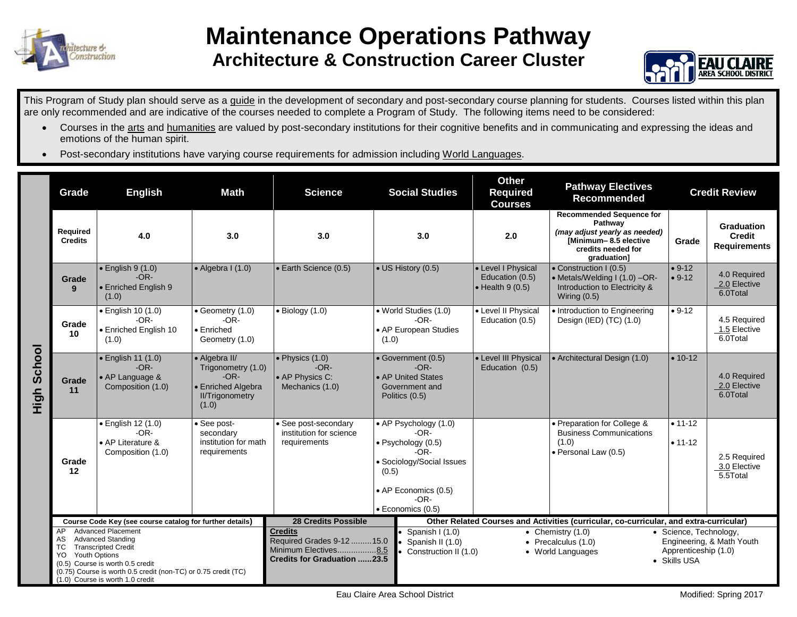

## **Maintenance Operations Pathway Architecture & Construction Career Cluster**



This Program of Study plan should serve as a guide in the development of secondary and post-secondary course planning for students. Courses listed within this plan are only recommended and are indicative of the courses needed to complete a Program of Study. The following items need to be considered:

- Courses in the arts and humanities are valued by post-secondary institutions for their cognitive benefits and in communicating and expressing the ideas and emotions of the human spirit.
- Post-secondary institutions have varying course requirements for admission including World Languages.

|                | Grade                                                                                                                                                                                                                                                                          | <b>English</b>                                                               | <b>Math</b>                                                                                            | <b>Science</b>                                                                                            | <b>Social Studies</b>                                                                                                                                                                                                            | <b>Other</b><br><b>Required</b><br><b>Courses</b>                                      | <b>Pathway Electives</b><br><b>Recommended</b>                                                                                           |                            | <b>Credit Review</b>                                      |
|----------------|--------------------------------------------------------------------------------------------------------------------------------------------------------------------------------------------------------------------------------------------------------------------------------|------------------------------------------------------------------------------|--------------------------------------------------------------------------------------------------------|-----------------------------------------------------------------------------------------------------------|----------------------------------------------------------------------------------------------------------------------------------------------------------------------------------------------------------------------------------|----------------------------------------------------------------------------------------|------------------------------------------------------------------------------------------------------------------------------------------|----------------------------|-----------------------------------------------------------|
| School<br>High | Required<br><b>Credits</b>                                                                                                                                                                                                                                                     | 4.0                                                                          | 3.0                                                                                                    | 3.0                                                                                                       | 3.0                                                                                                                                                                                                                              | 2.0                                                                                    | <b>Recommended Sequence for</b><br>Pathway<br>(may adjust yearly as needed)<br>Minimum-8.5 elective<br>credits needed for<br>graduation] | Grade                      | <b>Graduation</b><br><b>Credit</b><br><b>Requirements</b> |
|                | Grade<br>9                                                                                                                                                                                                                                                                     | $\bullet$ English 9 (1.0)<br>$-OR-$<br>• Enriched English 9<br>(1.0)         | $\bullet$ Algebra I (1.0)                                                                              | • Earth Science (0.5)                                                                                     | • US History (0.5)                                                                                                                                                                                                               | • Level I Physical<br>Education (0.5)<br>$\bullet$ Health 9 (0.5)                      | • Construction I (0.5)<br>• Metals/Welding I (1.0) -OR-<br>Introduction to Electricity &<br>Wiring $(0.5)$                               | $• 9-12$<br>$• 9-12$       | 4.0 Required<br>2.0 Elective<br>6.0Total                  |
|                | Grade<br>10                                                                                                                                                                                                                                                                    | $\bullet$ English 10 (1.0)<br>$-OR-$<br>• Enriched English 10<br>(1.0)       | $\bullet$ Geometry (1.0)<br>$-OR-$<br>$\bullet$ Enriched<br>Geometry (1.0)                             | $\bullet$ Biology (1.0)                                                                                   | · World Studies (1.0)<br>$-OR-$<br>• AP European Studies<br>(1.0)                                                                                                                                                                | • Level II Physical<br>Education (0.5)                                                 | • Introduction to Engineering<br>Design (IED) (TC) (1.0)                                                                                 | $• 9-12$                   | 4.5 Required<br>1.5 Elective<br>6.0Total                  |
|                | Grade<br>11                                                                                                                                                                                                                                                                    | $\bullet$ English 11 (1.0)<br>$-OR-$<br>• AP Language &<br>Composition (1.0) | • Algebra II/<br>Trigonometry (1.0)<br>$-OR-$<br>• Enriched Algebra<br><b>II/Trigonometry</b><br>(1.0) | $\bullet$ Physics (1.0)<br>$-OR-$<br>• AP Physics C:<br>Mechanics (1.0)                                   | • Government (0.5)<br>$-OR-$<br>• AP United States<br>Government and<br>Politics (0.5)                                                                                                                                           | • Level III Physical<br>Education (0.5)                                                | • Architectural Design (1.0)                                                                                                             | $• 10-12$                  | 4.0 Required<br>2.0 Elective<br>6.0Total                  |
|                | Grade<br>12                                                                                                                                                                                                                                                                    | · English 12 (1.0)<br>$-OR-$<br>• AP Literature &<br>Composition (1.0)       | • See post-<br>secondary<br>institution for math<br>requirements                                       | • See post-secondary<br>institution for science<br>requirements                                           | • AP Psychology (1.0)<br>$-OR-$<br>$\bullet$ Psychology (0.5)<br>$-OR-$<br>· Sociology/Social Issues<br>(0.5)<br>• AP Economics (0.5)<br>$-OR-$<br>$\bullet$ Economics (0.5)                                                     |                                                                                        | • Preparation for College &<br><b>Business Communications</b><br>(1.0)<br>· Personal Law (0.5)                                           | $• 11 - 12$<br>$• 11 - 12$ | 2.5 Required<br>3.0 Elective<br>5.5Total                  |
|                | Course Code Key (see course catalog for further details)                                                                                                                                                                                                                       |                                                                              |                                                                                                        | <b>28 Credits Possible</b>                                                                                |                                                                                                                                                                                                                                  | Other Related Courses and Activities (curricular, co-curricular, and extra-curricular) |                                                                                                                                          |                            |                                                           |
|                | <b>Advanced Placement</b><br>AP<br><b>Advanced Standing</b><br>AS<br>TC<br><b>Transcripted Credit</b><br><b>Youth Options</b><br>YO.<br>(0.5) Course is worth 0.5 credit<br>(0.75) Course is worth 0.5 credit (non-TC) or 0.75 credit (TC)<br>(1.0) Course is worth 1.0 credit |                                                                              |                                                                                                        | <b>Credits</b><br>Required Grades 9-12 15.0<br>Minimum Electives8.5<br><b>Credits for Graduation 23.5</b> | Spanish I (1.0)<br>• Chemistry $(1.0)$<br>• Science, Technology,<br>Spanish II (1.0)<br>Engineering, & Math Youth<br>• Precalculus $(1.0)$<br>Apprenticeship (1.0)<br>Construction II (1.0)<br>• World Languages<br>• Skills USA |                                                                                        |                                                                                                                                          |                            |                                                           |